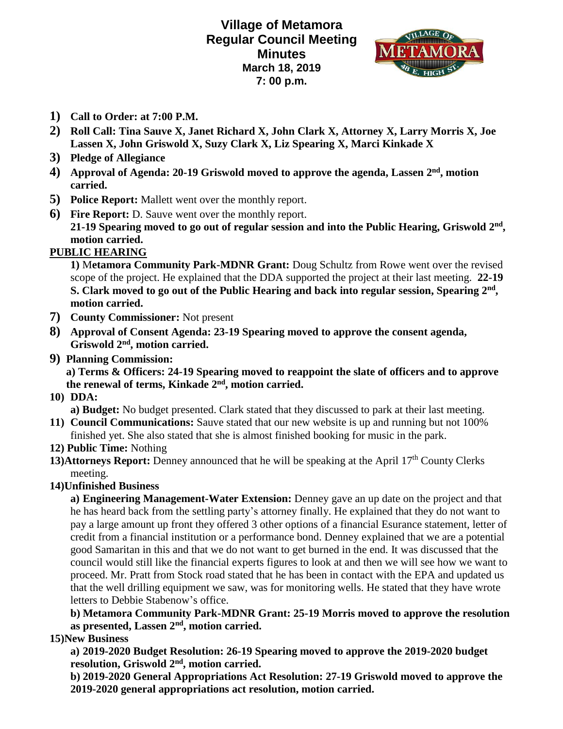**Village of Metamora Regular Council Meeting Minutes March 18, 2019 7: 00 p.m.**



- **1) Call to Order: at 7:00 P.M.**
- **2) Roll Call: Tina Sauve X, Janet Richard X, John Clark X, Attorney X, Larry Morris X, Joe Lassen X, John Griswold X, Suzy Clark X, Liz Spearing X, Marci Kinkade X**
- **3) Pledge of Allegiance**
- **4) Approval of Agenda: 20-19 Griswold moved to approve the agenda, Lassen 2nd, motion carried.**
- **5) Police Report:** Mallett went over the monthly report.
- **6) Fire Report:** D. Sauve went over the monthly report. **21-19 Spearing moved to go out of regular session and into the Public Hearing, Griswold 2nd , motion carried.**

## **PUBLIC HEARING**

**1)** M**etamora Community Park-MDNR Grant:** Doug Schultz from Rowe went over the revised scope of the project. He explained that the DDA supported the project at their last meeting. **22-19 S. Clark moved to go out of the Public Hearing and back into regular session, Spearing 2nd , motion carried.** 

- **7) County Commissioner:** Not present
- **8) Approval of Consent Agenda: 23-19 Spearing moved to approve the consent agenda, Griswold 2nd, motion carried.**
- **9) Planning Commission:**

**a) Terms & Officers: 24-19 Spearing moved to reappoint the slate of officers and to approve**  the renewal of terms, Kinkade 2<sup>nd</sup>, motion carried.

**10) DDA:**

**a) Budget:** No budget presented. Clark stated that they discussed to park at their last meeting.

- **11) Council Communications:** Sauve stated that our new website is up and running but not 100% finished yet. She also stated that she is almost finished booking for music in the park.
- **12) Public Time:** Nothing
- 13)Attorneys Report: Denney announced that he will be speaking at the April 17<sup>th</sup> County Clerks meeting.
- **14)Unfinished Business**

**a) Engineering Management-Water Extension:** Denney gave an up date on the project and that he has heard back from the settling party's attorney finally. He explained that they do not want to pay a large amount up front they offered 3 other options of a financial Esurance statement, letter of credit from a financial institution or a performance bond. Denney explained that we are a potential good Samaritan in this and that we do not want to get burned in the end. It was discussed that the council would still like the financial experts figures to look at and then we will see how we want to proceed. Mr. Pratt from Stock road stated that he has been in contact with the EPA and updated us that the well drilling equipment we saw, was for monitoring wells. He stated that they have wrote letters to Debbie Stabenow's office.

**b) Metamora Community Park-MDNR Grant: 25-19 Morris moved to approve the resolution as presented, Lassen 2nd, motion carried.**

## **15)New Business**

**a) 2019-2020 Budget Resolution: 26-19 Spearing moved to approve the 2019-2020 budget**  resolution, Griswold 2<sup>nd</sup>, motion carried.

**b) 2019-2020 General Appropriations Act Resolution: 27-19 Griswold moved to approve the 2019-2020 general appropriations act resolution, motion carried.**